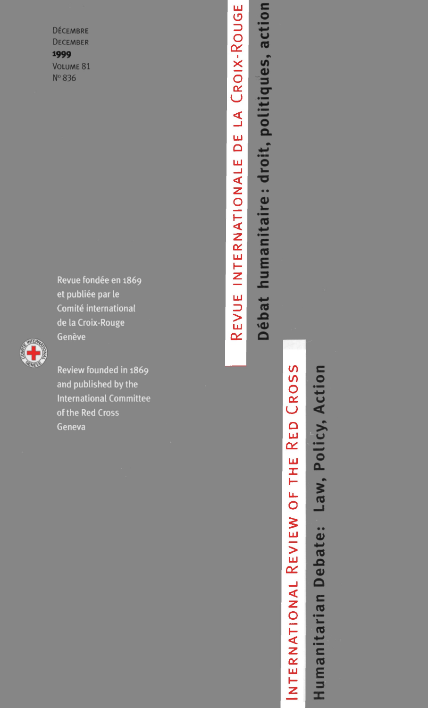**DÉCEMBRE DECEMBER** 1999 VOLUME 81 Nº 836

> Revue fondée en 1869 et publiée par le Comité international de la Croix-Rouge Genève



Review founded in 1869 and published by the **International Committee** of the Red Cross Geneva

Débat humanitaire: droit, politiques, action LA CROIX-ROUGE DE REVUE INTERNATIONALE

# CROSS **RED** NTERNATIONAL REVIEW OF THE

Humanitarian Debate: Law, Policy, Action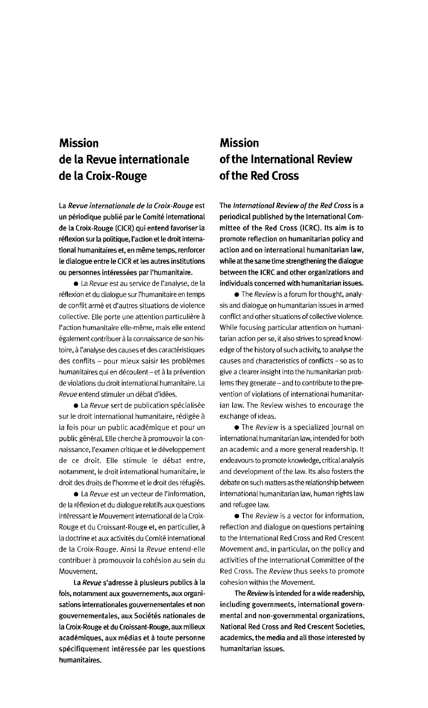#### **Mission de la Revue internationale de la Croix-Rouge**

**La Revue internationale de la Croix-Rouge est un periodique publie par le Comite international de la Croix-Rouge (CICR) qui entend favoriser la reflexion sur la politique, I'action et le droit international humanitaires et, en meme temps, renforcer le dialogue entre le CICR et les autres institutions ou personnes interessees par I'humanitaire.**

• La Revue est au service de I'analyse, de la réflexion et du dialogue sur l'humanitaire en temps de conflit arme et d'autres situations de violence collective. Elle porte une attention particulière à I'action humanitaire elle-meme, mais elle entend également contribuer à la connaissance de son histoire, à l'analyse des causes et des caractéristiques des conflits - pour mieux saisir les problèmes humanitaires qui en découlent - et à la prévention de violations du droit international humanitaire. La Revue entend stimuler un debat d'idees.

• La Revue sert de publication spécialisée sur le droit international humanitaire, rédigée à la fois pour un public academique et pour un public général. Elle cherche à promouvoir la connaissance, I'examen critique et le developpement de ce droit. Elle stimule le debat entre, notamment, le droit international humanitaire, le droit des droits de l'homme et le droit des réfugiés.

• La Revue est un vecteur de l'information, de la reflexion et du dialogue relatifs aux questions intéressant le Mouvement international de la Croix-Rouge et du Croissant-Rouge et, en particulier, a la doctrine et aux activités du Comité international de la Croix-Rouge. Ainsi la Revue entend-elle contribuer a promouvoir la cohesion au sein du Mouvement.

**La Revue s'adresse a plusieurs publics a la fois, notamment aux gouvernements, aux organisations internationales gouvernementales et non gouvernementales, aux Societes nationales de la Croix-Rouge et du Croissant-Rouge, aux milieux academiques, aux medias et a toute personne specifiquement interessee par les questions humanitaires.**

#### **Mission of the International Review of the Red Cross**

**The International Review of the Red Cross is a periodical published by the International Committee of the Red Cross (ICRC). Its aim is to promote reflection on humanitarian policy and action and on international humanitarian law, while at the same time strengthening the dialogue between the ICRC and other organizations and individuals concerned with humanitarian issues.**

• The Review is a forum for thought, analysis and dialogue on humanitarian issues in armed conflict and other situations of collective violence. While focusing particular attention on humanitarian action per se, it also strives to spread knowledge of the history of such activity, to analyse the causes and characteristics of conflicts - so as to give a clearer insight into the humanitarian problems they generate - and to contribute to the prevention of violations of international humanitarian law. The Review wishes to encourage the exchange of ideas.

• The Review is a specialized journal on international humanitarian law, intended for both an academic and a more general readership. It endeavours to promote knowledge, critical analysis and development of the law. Its also fosters the debate on such matters as the relationship between international humanitarian law, human rights law and refugee law.

**• The Review is a vector for information,** reflection and dialogue on questions pertaining to the International Red Cross and Red Crescent Movement and, in particular, on the policy and activities of the International Committee of the Red Cross. The Review thus seeks to promote cohesion within the Movement.

**The Review is intended for a wide readership, including governments, international governmental and non-governmental organizations, National Red Cross and Red Crescent Societies, academics, the media and all those interested by humanitarian issues.**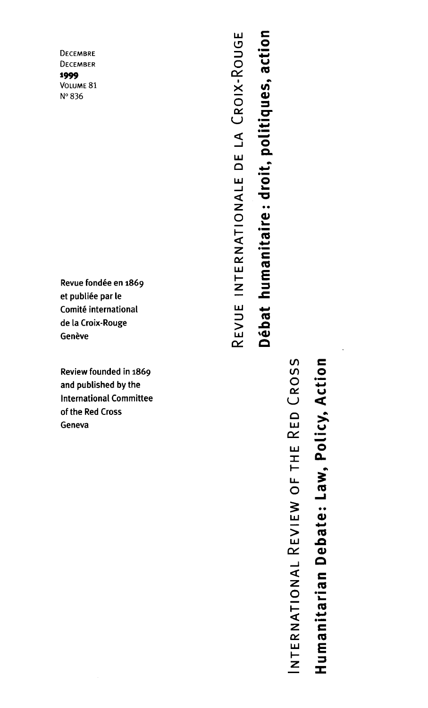**DECEMBRE** DECEMBER 1999 VOLUME 81 Nº 836

Revue fondée en 1869 et publiée par le Comité international de la Croix-Rouge Genève

Review founded in 1869 and published by the **International Committee** of the Red Cross Geneva

Débat humanitaire: droit, politiques, action REVUE INTERNATIONALE DE LA CROIX-ROUGE

## CROSS Humanitarian Debate: Law, Policy, Action INTERNATIONAL REVIEW OF THE RED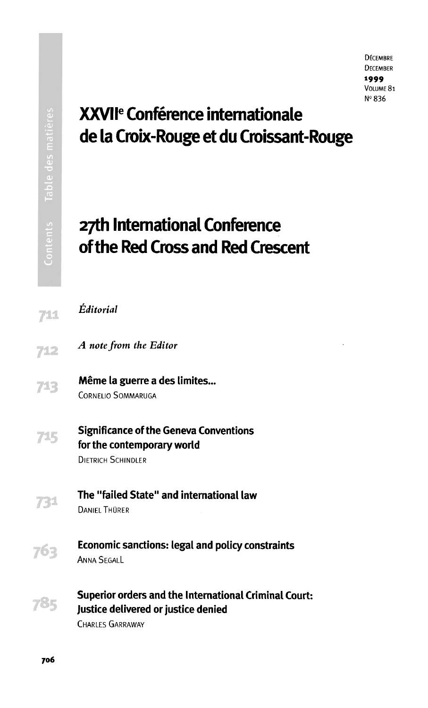## **XXVII<sup>6</sup> Conference Internationale de la Croix-Rouge et du Croissant-Rouge**

### **27th International Conference of the Red Cross and Red Crescent**

| 711 | Éditorial                                                                                                               |
|-----|-------------------------------------------------------------------------------------------------------------------------|
| 712 | A note from the Editor                                                                                                  |
|     | Même la guerre a des limites<br><b>CORNELIO SOMMARUGA</b>                                                               |
|     | <b>Significance of the Geneva Conventions</b><br>for the contemporary world<br><b>DIFTRICH SCHINDLER</b>                |
|     | The "failed State" and international law<br><b>DANIFI THÜRER</b>                                                        |
|     | <b>Economic sanctions: legal and policy constraints</b><br><b>ANNA SEGALL</b>                                           |
|     | <b>Superior orders and the International Criminal Court:</b><br>Justice delivered or justice denied<br>CHARLES GARRAWAY |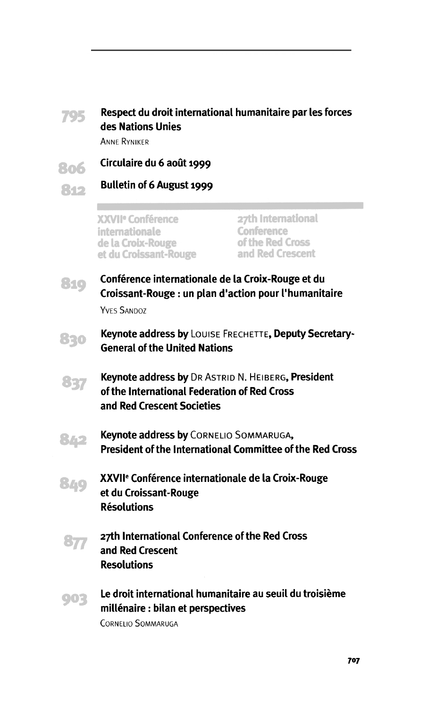

#### **705** Respect du droit international humanitaire par les forces **des Nations Unies**

ANNE RYNIKER

- **Circulaire du 6 aout 1999** 806
- **B**

**Bulletin of 6 August 1999**

XXVII<sup>e</sup> Conférence **27th International**<br>
27th Internationale Conference internationale Conference<br>
de la Croix-Rouge of the Red Cross de la Croix-Rouge of the Red Cross<br>et du Croissant-Rouge of the Red Crescent et du Croissant-Rouge

- **8 1 9 Conference internationale de la Croix-Rouge et du Croissant-Rouge: un plan d "action pour I'humanitaire** YVES SANDOZ
- **Keynote address by** LOUISE FRECHETTE, **Deputy Secretary-**830 **General of the United Nations**
- **Keynote address by DR** ASTRID **N.** HEIBERG, **President** 837 **of the International Federation of Red Cross and Red Crescent Societies**
- **Keynote address by** CORNELIO SOMMARUGA, 842 **President of the International Committee of the Red Cross**
- **XXVI le Conference internationale de la Croix-Rouge** 340 **et du Croissant-Rouge Resolutions**
- **27th International Conference of the Red Cross** 37 **and Red Crescent Resolutions**
- 903

**Le droit international humanitaire au seuil du troisieme millenaire: bilan et perspectives**

CORNELIO SOMMARUGA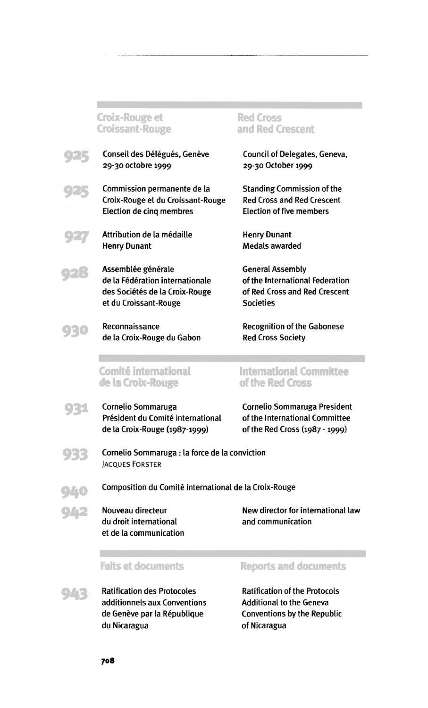#### **Croix-Rouge et** Croissant-Rouge



925

927

Conseil des Délégués, Genève 29-30 octobre 1999

Commission permanente de la Croix-Rouge et du Croissant-Rouge Election de cinq membres

Attribution de la medaille Henry Dunant

Assemblée générale de la Federation internationale des Sociétés de la Croix-Rouge et du Croissant-Rouge

Reconnaissance de la Croix-Rouge du Gabon

#### **Comité international** de la Croix-Rouge



930

Président du Comité international of the International Committee de la Croix-Rouge (1987-1999) of the Red Cross (1987 -1999)



9 3 3 Cornelio Sommaruga: la force de la conviction JACQUES FORSTER

Composition du Comite international de la Croix-Rouge

**Q42** Nouveau directeur du droit international et de la communication New director for international law and communication

#### **Faits et documents**

Ratification des Protocoles additionnels aux Conventions de Genève par la République du Nicaragua

#### Reports and documents

Ratification of the Protocols Additional to the Geneva Conventions by the Republic of Nicaragua

#### Red Cross and Red Crescent

Council of Delegates, Geneva, 29-30 October 1999

Standing Commission of the Red Cross and Red Crescent Election of five members

Henry Dunant Medals awarded

General Assembly of the International Federation of Red Cross and Red Crescent Societies

Recognition of the Gabonese Red Cross Society

#### International Committee of the Red Cross

Cornelio Sommaruga Cornelio Sommaruga President